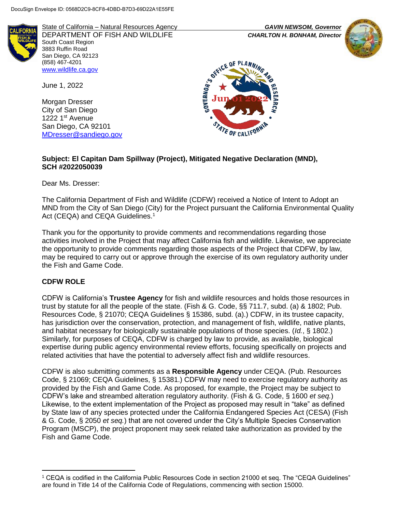

State of California – Natural Resources Agency *GAVIN NEWSOM, Governor* DEPARTMENT OF FISH AND WILDLIFE *CHARLTON H. BONHAM, Director*  South Coast Region 3883 Ruffin Road San Diego, CA 92123 (858) 467-4201 [www.wildlife.ca.gov](http://www.wildlife.ca.gov/)

June 1, 2022

Morgan Dresser City of San Diego 1222 1st Avenue San Diego, CA 92101 [MDresser@sandiego.gov](mailto:MDresser@sandiego.gov)





### **Subject: El Capitan Dam Spillway (Project), Mitigated Negative Declaration (MND), SCH #2022050039**

Dear Ms. Dresser:

The California Department of Fish and Wildlife (CDFW) received a Notice of Intent to Adopt an MND from the City of San Diego (City) for the Project pursuant the California Environmental Quality Act (CEQA) and CEQA Guidelines.<sup>1</sup>

Thank you for the opportunity to provide comments and recommendations regarding those activities involved in the Project that may affect California fish and wildlife. Likewise, we appreciate the opportunity to provide comments regarding those aspects of the Project that CDFW, by law, may be required to carry out or approve through the exercise of its own regulatory authority under the Fish and Game Code.

## **CDFW ROLE**

l

CDFW is California's **Trustee Agency** for fish and wildlife resources and holds those resources in trust by statute for all the people of the state. (Fish & G. Code, §§ 711.7, subd. (a) & 1802; Pub. Resources Code, § 21070; CEQA Guidelines § 15386, subd. (a).) CDFW, in its trustee capacity, has jurisdiction over the conservation, protection, and management of fish, wildlife, native plants, and habitat necessary for biologically sustainable populations of those species. (*Id.*, § 1802.) Similarly, for purposes of CEQA, CDFW is charged by law to provide, as available, biological expertise during public agency environmental review efforts, focusing specifically on projects and related activities that have the potential to adversely affect fish and wildlife resources.

CDFW is also submitting comments as a **Responsible Agency** under CEQA. (Pub. Resources Code, § 21069; CEQA Guidelines, § 15381.) CDFW may need to exercise regulatory authority as provided by the Fish and Game Code. As proposed, for example, the Project may be subject to CDFW's lake and streambed alteration regulatory authority. (Fish & G. Code, § 1600 *et seq.*) Likewise, to the extent implementation of the Project as proposed may result in "take" as defined by State law of any species protected under the California Endangered Species Act (CESA) (Fish & G. Code, § 2050 *et seq.*) that are not covered under the City's Multiple Species Conservation Program (MSCP), the project proponent may seek related take authorization as provided by the Fish and Game Code.

<sup>1</sup> CEQA is codified in the California Public Resources Code in section 21000 et seq. The "CEQA Guidelines" are found in Title 14 of the California Code of Regulations, commencing with section 15000.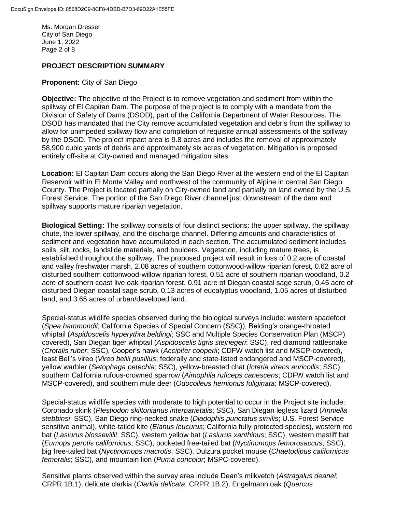Ms. Morgan Dresser City of San Diego June 1, 2022 Page 2 of 8

### **PROJECT DESCRIPTION SUMMARY**

#### **Proponent:** City of San Diego

**Objective:** The objective of the Project is to remove vegetation and sediment from within the spillway of El Capitan Dam. The purpose of the project is to comply with a mandate from the Division of Safety of Dams (DSOD), part of the California Department of Water Resources. The DSOD has mandated that the City remove accumulated vegetation and debris from the spillway to allow for unimpeded spillway flow and completion of requisite annual assessments of the spillway by the DSOD. The project impact area is 9.8 acres and includes the removal of approximately 58,900 cubic yards of debris and approximately six acres of vegetation. Mitigation is proposed entirely off-site at City-owned and managed mitigation sites.

**Location:** El Capitan Dam occurs along the San Diego River at the western end of the El Capitan Reservoir within El Monte Valley and northwest of the community of Alpine in central San Diego County. The Project is located partially on City-owned land and partially on land owned by the U.S. Forest Service. The portion of the San Diego River channel just downstream of the dam and spillway supports mature riparian vegetation.

**Biological Setting:** The spillway consists of four distinct sections: the upper spillway, the spillway chute, the lower spillway, and the discharge channel. Differing amounts and characteristics of sediment and vegetation have accumulated in each section. The accumulated sediment includes soils, silt, rocks, landslide materials, and boulders. Vegetation, including mature trees, is established throughout the spillway. The proposed project will result in loss of 0.2 acre of coastal and valley freshwater marsh, 2.08 acres of southern cottonwood-willow riparian forest, 0.62 acre of disturbed southern cottonwood-willow riparian forest, 0.51 acre of southern riparian woodland, 0.2 acre of southern coast live oak riparian forest, 0.91 acre of Diegan coastal sage scrub, 0.45 acre of disturbed Diegan coastal sage scrub, 0.13 acres of eucalyptus woodland, 1.05 acres of disturbed land, and 3.65 acres of urban/developed land.

Special-status wildlife species observed during the biological surveys include: western spadefoot (*Spea hammondii*; California Species of Special Concern (SSC)), Belding's orange-throated whiptail (*Aspidoscelis hyperythra beldingi*; SSC and Multiple Species Conservation Plan (MSCP) covered), San Diegan tiger whiptail (*Aspidoscelis tigris stejnegeri*; SSC), red diamond rattlesnake (*Crotalis ruber*; SSC), Cooper's hawk (*Accipiter cooperii*; CDFW watch list and MSCP-covered), least Bell's vireo (*Vireo bellii pusillus*; federally and state-listed endangered and MSCP-covered), yellow warbler (*Setophaga petechia*; SSC), yellow-breasted chat (*Icteria virens auricollis*; SSC), southern California rufous-crowned sparrow (*Aimophila ruficeps canescens*; CDFW watch list and MSCP-covered), and southern mule deer (*Odocoileus hemionus fuliginata*; MSCP-covered).

Special-status wildlife species with moderate to high potential to occur in the Project site include: Coronado skink (*Plestiodon skiltonianus interparietalis*; SSC), San Diegan legless lizard (*Anniella stebbinsi*; SSC), San Diego ring-necked snake (*Diadophis punctatus similis*; U.S. Forest Service sensitive animal), white-tailed kite (*Elanus leucurus*; California fully protected species), western red bat (*Lasiurus blossevillii*; SSC), western yellow bat (*Lasiurus xanthinus*; SSC), western mastiff bat (*Eumops perotis californicus*; SSC), pocketed free-tailed bat (*Nyctinomops femorosaccus*; SSC), big free-tailed bat (*Nyctinomops macrotis*; SSC), Dulzura pocket mouse (*Chaetodipus californicus femoralis*; SSC), and mountain lion (*Puma concolor*; MSPC-covered).

Sensitive plants observed within the survey area include Dean's milkvetch (*Astragalus deanei*; CRPR 1B.1), delicate clarkia (*Clarkia delicata*; CRPR 1B.2), Engelmann oak (*Quercus*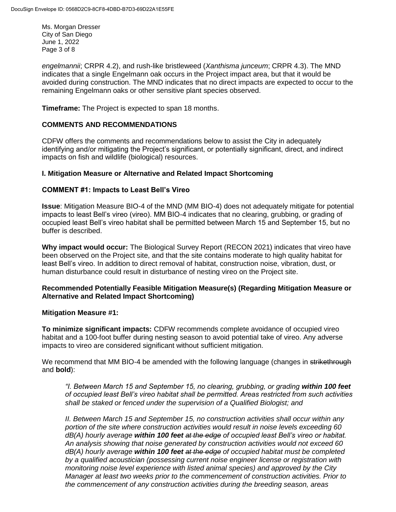Ms. Morgan Dresser City of San Diego June 1, 2022 Page 3 of 8

*engelmannii*; CRPR 4.2), and rush-like bristleweed (*Xanthisma junceum*; CRPR 4.3). The MND indicates that a single Engelmann oak occurs in the Project impact area, but that it would be avoided during construction. The MND indicates that no direct impacts are expected to occur to the remaining Engelmann oaks or other sensitive plant species observed.

**Timeframe:** The Project is expected to span 18 months.

## **COMMENTS AND RECOMMENDATIONS**

CDFW offers the comments and recommendations below to assist the City in adequately identifying and/or mitigating the Project's significant, or potentially significant, direct, and indirect impacts on fish and wildlife (biological) resources.

## **I. Mitigation Measure or Alternative and Related Impact Shortcoming**

## **COMMENT #1: Impacts to Least Bell's Vireo**

**Issue**: Mitigation Measure BIO-4 of the MND (MM BIO-4) does not adequately mitigate for potential impacts to least Bell's vireo (vireo). MM BIO-4 indicates that no clearing, grubbing, or grading of occupied least Bell's vireo habitat shall be permitted between March 15 and September 15, but no buffer is described.

**Why impact would occur:** The Biological Survey Report (RECON 2021) indicates that vireo have been observed on the Project site, and that the site contains moderate to high quality habitat for least Bell's vireo. In addition to direct removal of habitat, construction noise, vibration, dust, or human disturbance could result in disturbance of nesting vireo on the Project site.

## **Recommended Potentially Feasible Mitigation Measure(s) (Regarding Mitigation Measure or Alternative and Related Impact Shortcoming)**

#### **Mitigation Measure #1:**

**To minimize significant impacts:** CDFW recommends complete avoidance of occupied vireo habitat and a 100-foot buffer during nesting season to avoid potential take of vireo. Any adverse impacts to vireo are considered significant without sufficient mitigation.

We recommend that MM BIO-4 be amended with the following language (changes in strikethrough and **bold**):

*"I. Between March 15 and September 15, no clearing, grubbing, or grading within 100 feet of occupied least Bell's vireo habitat shall be permitted. Areas restricted from such activities shall be staked or fenced under the supervision of a Qualified Biologist; and* 

*II. Between March 15 and September 15, no construction activities shall occur within any portion of the site where construction activities would result in noise levels exceeding 60 dB(A) hourly average within 100 feet at the edge of occupied least Bell's vireo or habitat. An analysis showing that noise generated by construction activities would not exceed 60 dB(A) hourly average within 100 feet at the edge of occupied habitat must be completed by a qualified acoustician (possessing current noise engineer license or registration with monitoring noise level experience with listed animal species) and approved by the City Manager at least two weeks prior to the commencement of construction activities. Prior to the commencement of any construction activities during the breeding season, areas*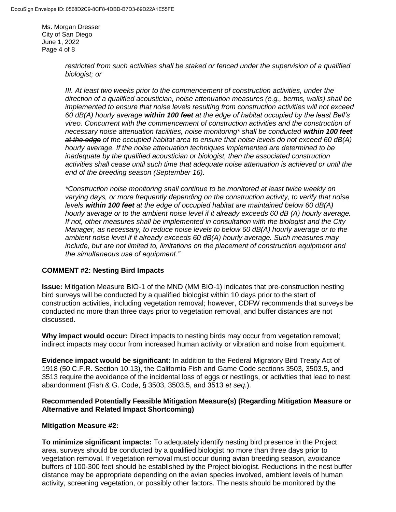Ms. Morgan Dresser City of San Diego June 1, 2022 Page 4 of 8

> *restricted from such activities shall be staked or fenced under the supervision of a qualified biologist; or*

*III. At least two weeks prior to the commencement of construction activities, under the direction of a qualified acoustician, noise attenuation measures (e.g., berms, walls) shall be implemented to ensure that noise levels resulting from construction activities will not exceed 60 dB(A) hourly average within 100 feet at the edge of habitat occupied by the least Bell's vireo. Concurrent with the commencement of construction activities and the construction of necessary noise attenuation facilities, noise monitoring\* shall be conducted within 100 feet at the edge of the occupied habitat area to ensure that noise levels do not exceed 60 dB(A) hourly average. If the noise attenuation techniques implemented are determined to be inadequate by the qualified acoustician or biologist, then the associated construction activities shall cease until such time that adequate noise attenuation is achieved or until the end of the breeding season (September 16).*

*\*Construction noise monitoring shall continue to be monitored at least twice weekly on varying days, or more frequently depending on the construction activity, to verify that noise levels within 100 feet at the edge of occupied habitat are maintained below 60 dB(A) hourly average or to the ambient noise level if it already exceeds 60 dB (A) hourly average. If not, other measures shall be implemented in consultation with the biologist and the City Manager, as necessary, to reduce noise levels to below 60 dB(A) hourly average or to the ambient noise level if it already exceeds 60 dB(A) hourly average. Such measures may include, but are not limited to, limitations on the placement of construction equipment and the simultaneous use of equipment."*

## **COMMENT #2: Nesting Bird Impacts**

**Issue:** Mitigation Measure BIO-1 of the MND (MM BIO-1) indicates that pre-construction nesting bird surveys will be conducted by a qualified biologist within 10 days prior to the start of construction activities, including vegetation removal; however, CDFW recommends that surveys be conducted no more than three days prior to vegetation removal, and buffer distances are not discussed.

**Why impact would occur:** Direct impacts to nesting birds may occur from vegetation removal; indirect impacts may occur from increased human activity or vibration and noise from equipment.

**Evidence impact would be significant:** In addition to the Federal Migratory Bird Treaty Act of 1918 (50 C.F.R. Section 10.13), the California Fish and Game Code sections 3503, 3503.5, and 3513 require the avoidance of the incidental loss of eggs or nestlings, or activities that lead to nest abandonment (Fish & G. Code, § 3503, 3503.5, and 3513 *et seq*.).

### **Recommended Potentially Feasible Mitigation Measure(s) (Regarding Mitigation Measure or Alternative and Related Impact Shortcoming)**

#### **Mitigation Measure #2:**

**To minimize significant impacts:** To adequately identify nesting bird presence in the Project area, surveys should be conducted by a qualified biologist no more than three days prior to vegetation removal. If vegetation removal must occur during avian breeding season, avoidance buffers of 100-300 feet should be established by the Project biologist. Reductions in the nest buffer distance may be appropriate depending on the avian species involved, ambient levels of human activity, screening vegetation, or possibly other factors. The nests should be monitored by the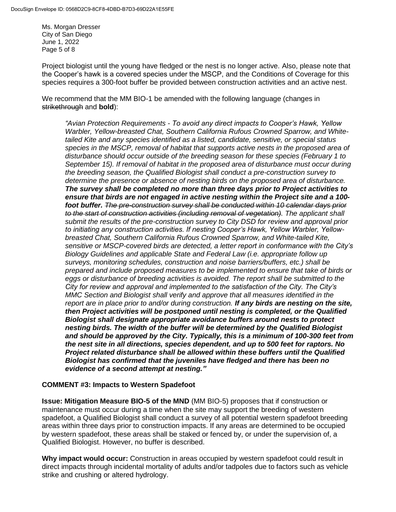Ms. Morgan Dresser City of San Diego June 1, 2022 Page 5 of 8

Project biologist until the young have fledged or the nest is no longer active. Also, please note that the Cooper's hawk is a covered species under the MSCP, and the Conditions of Coverage for this species requires a 300-foot buffer be provided between construction activities and an active nest.

We recommend that the MM BIO-1 be amended with the following language (changes in strikethrough and **bold**):

*"Avian Protection Requirements - To avoid any direct impacts to Cooper's Hawk, Yellow Warbler, Yellow-breasted Chat, Southern California Rufous Crowned Sparrow, and Whitetailed Kite and any species identified as a listed, candidate, sensitive, or special status species in the MSCP, removal of habitat that supports active nests in the proposed area of disturbance should occur outside of the breeding season for these species (February 1 to September 15). If removal of habitat in the proposed area of disturbance must occur during the breeding season, the Qualified Biologist shall conduct a pre-construction survey to determine the presence or absence of nesting birds on the proposed area of disturbance. The survey shall be completed no more than three days prior to Project activities to ensure that birds are not engaged in active nesting within the Project site and a 100 foot buffer. The pre-construction survey shall be conducted within 10 calendar days prior to the start of construction activities (including removal of vegetation). The applicant shall submit the results of the pre-construction survey to City DSD for review and approval prior to initiating any construction activities. If nesting Cooper's Hawk, Yellow Warbler, Yellowbreasted Chat, Southern California Rufous Crowned Sparrow, and White-tailed Kite, sensitive or MSCP-covered birds are detected, a letter report in conformance with the City's Biology Guidelines and applicable State and Federal Law (i.e. appropriate follow up surveys, monitoring schedules, construction and noise barriers/buffers, etc.) shall be prepared and include proposed measures to be implemented to ensure that take of birds or eggs or disturbance of breeding activities is avoided. The report shall be submitted to the City for review and approval and implemented to the satisfaction of the City. The City's MMC Section and Biologist shall verify and approve that all measures identified in the report are in place prior to and/or during construction. If any birds are nesting on the site, then Project activities will be postponed until nesting is completed, or the Qualified Biologist shall designate appropriate avoidance buffers around nests to protect nesting birds. The width of the buffer will be determined by the Qualified Biologist and should be approved by the City. Typically, this is a minimum of 100-300 feet from the nest site in all directions, species dependent, and up to 500 feet for raptors. No Project related disturbance shall be allowed within these buffers until the Qualified Biologist has confirmed that the juveniles have fledged and there has been no evidence of a second attempt at nesting."*

#### **COMMENT #3: Impacts to Western Spadefoot**

**Issue: Mitigation Measure BIO-5 of the MND** (MM BIO-5) proposes that if construction or maintenance must occur during a time when the site may support the breeding of western spadefoot, a Qualified Biologist shall conduct a survey of all potential western spadefoot breeding areas within three days prior to construction impacts. If any areas are determined to be occupied by western spadefoot, these areas shall be staked or fenced by, or under the supervision of, a Qualified Biologist. However, no buffer is described.

**Why impact would occur:** Construction in areas occupied by western spadefoot could result in direct impacts through incidental mortality of adults and/or tadpoles due to factors such as vehicle strike and crushing or altered hydrology.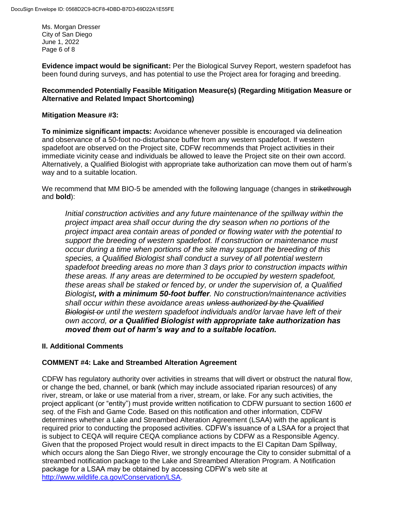Ms. Morgan Dresser City of San Diego June 1, 2022 Page 6 of 8

**Evidence impact would be significant:** Per the Biological Survey Report, western spadefoot has been found during surveys, and has potential to use the Project area for foraging and breeding.

## **Recommended Potentially Feasible Mitigation Measure(s) (Regarding Mitigation Measure or Alternative and Related Impact Shortcoming)**

# **Mitigation Measure #3:**

**To minimize significant impacts:** Avoidance whenever possible is encouraged via delineation and observance of a 50-foot no-disturbance buffer from any western spadefoot. If western spadefoot are observed on the Project site, CDFW recommends that Project activities in their immediate vicinity cease and individuals be allowed to leave the Project site on their own accord. Alternatively, a Qualified Biologist with appropriate take authorization can move them out of harm's way and to a suitable location.

We recommend that MM BIO-5 be amended with the following language (changes in strikethrough and **bold**):

*Initial construction activities and any future maintenance of the spillway within the project impact area shall occur during the dry season when no portions of the project impact area contain areas of ponded or flowing water with the potential to support the breeding of western spadefoot. If construction or maintenance must occur during a time when portions of the site may support the breeding of this species, a Qualified Biologist shall conduct a survey of all potential western spadefoot breeding areas no more than 3 days prior to construction impacts within these areas. If any areas are determined to be occupied by western spadefoot, these areas shall be staked or fenced by, or under the supervision of, a Qualified Biologist, with a minimum 50-foot buffer. No construction/maintenance activities shall occur within these avoidance areas unless authorized by the Qualified Biologist or until the western spadefoot individuals and/or larvae have left of their own accord, or a Qualified Biologist with appropriate take authorization has moved them out of harm's way and to a suitable location.*

# **II. Additional Comments**

# **COMMENT #4: Lake and Streambed Alteration Agreement**

CDFW has regulatory authority over activities in streams that will divert or obstruct the natural flow, or change the bed, channel, or bank (which may include associated riparian resources) of any river, stream, or lake or use material from a river, stream, or lake. For any such activities, the project applicant (or "entity") must provide written notification to CDFW pursuant to section 1600 *et seq*. of the Fish and Game Code. Based on this notification and other information, CDFW determines whether a Lake and Streambed Alteration Agreement (LSAA) with the applicant is required prior to conducting the proposed activities. CDFW's issuance of a LSAA for a project that is subject to CEQA will require CEQA compliance actions by CDFW as a Responsible Agency. Given that the proposed Project would result in direct impacts to the El Capitan Dam Spillway, which occurs along the San Diego River, we strongly encourage the City to consider submittal of a streambed notification package to the Lake and Streambed Alteration Program. A Notification package for a LSAA may be obtained by accessing CDFW's web site at [http://www.wildlife.ca.gov/Conservation/LSA.](http://www.wildlife.ca.gov/Conservation/LSA)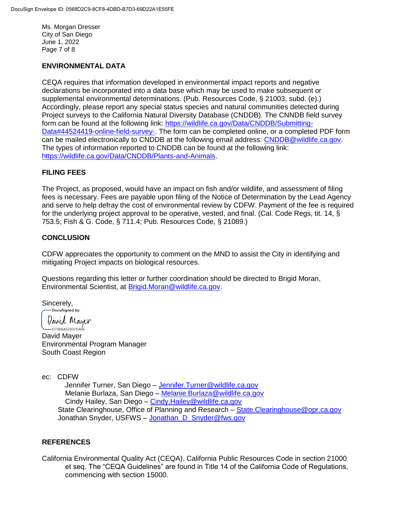Ms. Morgan Dresser City of San Diego June 1, 2022 Page 7 of 8

## **ENVIRONMENTAL DATA**

CEQA requires that information developed in environmental impact reports and negative declarations be incorporated into a data base which may be used to make subsequent or supplemental environmental determinations. (Pub. Resources Code, § 21003, subd. (e).) Accordingly, please report any special status species and natural communities detected during Project surveys to the California Natural Diversity Database (CNDDB). The CNNDB field survey form can be found at the following link: [https://wildlife.ca.gov/Data/CNDDB/Submitting-](https://wildlife.ca.gov/Data/CNDDB/Submitting-Data#44524419-online-field-survey-)[Data#44524419-online-field-survey-.](https://wildlife.ca.gov/Data/CNDDB/Submitting-Data#44524419-online-field-survey-) The form can be completed online, or a completed PDF form can be mailed electronically to CNDDB at the following email address: [CNDDB@wildlife.ca.gov.](mailto:cnddb@dfg.ca.gov) The types of information reported to CNDDB can be found at the following link: [https://wildlife.ca.gov/Data/CNDDB/Plants-and-Animals.](https://wildlife.ca.gov/Data/CNDDB/Plants-and-Animals)

## **FILING FEES**

The Project, as proposed, would have an impact on fish and/or wildlife, and assessment of filing fees is necessary. Fees are payable upon filing of the Notice of Determination by the Lead Agency and serve to help defray the cost of environmental review by CDFW. Payment of the fee is required for the underlying project approval to be operative, vested, and final. (Cal. Code Regs, tit. 14, § 753.5; Fish & G. Code, § 711.4; Pub. Resources Code, § 21089.)

## **CONCLUSION**

CDFW appreciates the opportunity to comment on the MND to assist the City in identifying and mitigating Project impacts on biological resources.

Questions regarding this letter or further coordination should be directed to Brigid Moran, Environmental Scientist, at [Brigid.Moran@wildlife.ca.gov.](mailto:Brigid.Moran@wildlife.ca.gov)

Sincerely,<br> **Docusigned** by:

David Mayer

.<br>—D700B4520375406... David Mayer Environmental Program Manager South Coast Region

ec: CDFW

Jennifer Turner, San Diego – [Jennifer.Turner@wildlife.ca.gov](mailto:Jennifer.Turner@wildlife.ca.gov) Melanie Burlaza, San Diego – [Melanie.Burlaza@wildlife.ca.gov](mailto:Melanie.Burlaza@wildlife.ca.gov) Cindy Hailey, San Diego - Cindy. Hailey@wildlife.ca.gov State Clearinghouse, Office of Planning and Research – State. Clearinghouse @opr.ca.gov Jonathan Snyder, USFWS – [Jonathan\\_D\\_Snyder@fws.gov](mailto:Jonathan_D_Snyder@fws.gov)

## **REFERENCES**

California Environmental Quality Act (CEQA). California Public Resources Code in section 21000 et seq. The "CEQA Guidelines" are found in Title 14 of the California Code of Regulations, commencing with section 15000.